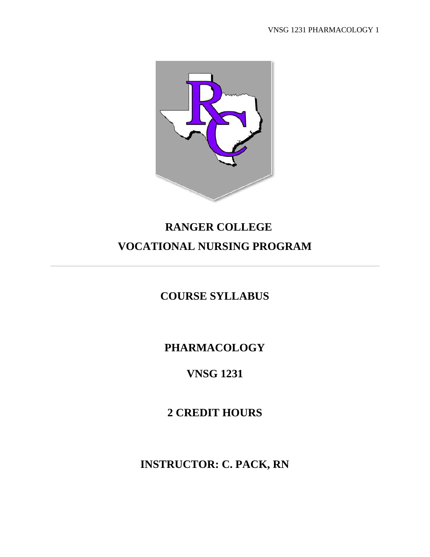

# **RANGER COLLEGE VOCATIONAL NURSING PROGRAM**

**COURSE SYLLABUS**

**PHARMACOLOGY**

## **VNSG 1231**

**2 CREDIT HOURS**

**INSTRUCTOR: C. PACK, RN**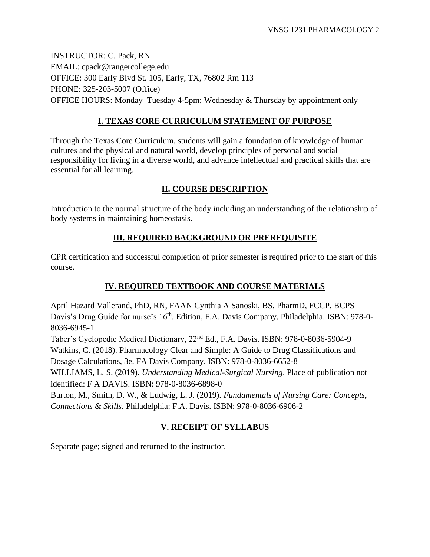INSTRUCTOR: C. Pack, RN EMAIL: cpack@rangercollege.edu OFFICE: 300 Early Blvd St. 105, Early, TX, 76802 Rm 113 PHONE: 325-203-5007 (Office) OFFICE HOURS: Monday–Tuesday 4-5pm; Wednesday & Thursday by appointment only

## **I. TEXAS CORE CURRICULUM STATEMENT OF PURPOSE**

Through the Texas Core Curriculum, students will gain a foundation of knowledge of human cultures and the physical and natural world, develop principles of personal and social responsibility for living in a diverse world, and advance intellectual and practical skills that are essential for all learning.

## **II. COURSE DESCRIPTION**

Introduction to the normal structure of the body including an understanding of the relationship of body systems in maintaining homeostasis.

## **III. REQUIRED BACKGROUND OR PREREQUISITE**

CPR certification and successful completion of prior semester is required prior to the start of this course.

## **IV. REQUIRED TEXTBOOK AND COURSE MATERIALS**

April Hazard Vallerand, PhD, RN, FAAN Cynthia A Sanoski, BS, PharmD, FCCP, BCPS Davis's Drug Guide for nurse's 16<sup>th</sup>. Edition, F.A. Davis Company, Philadelphia. ISBN: 978-0-8036-6945-1

Taber's Cyclopedic Medical Dictionary, 22nd Ed., F.A. Davis. ISBN: 978-0-8036-5904-9 Watkins, C. (2018). Pharmacology Clear and Simple: A Guide to Drug Classifications and Dosage Calculations, 3e. FA Davis Company. ISBN: 978-0-8036-6652-8

WILLIAMS, L. S. (2019). *Understanding Medical-Surgical Nursing*. Place of publication not identified: F A DAVIS. ISBN: 978-0-8036-6898-0

Burton, M., Smith, D. W., & Ludwig, L. J. (2019). *Fundamentals of Nursing Care: Concepts, Connections & Skills*. Philadelphia: F.A. Davis. ISBN: 978-0-8036-6906-2

## **V. RECEIPT OF SYLLABUS**

Separate page; signed and returned to the instructor.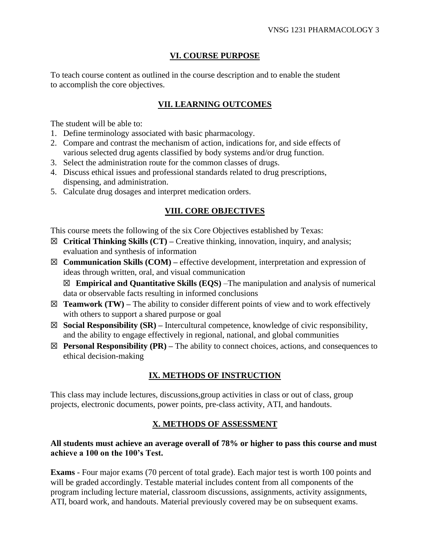#### **VI. COURSE PURPOSE**

To teach course content as outlined in the course description and to enable the student to accomplish the core objectives.

### **VII. LEARNING OUTCOMES**

The student will be able to:

- 1. Define terminology associated with basic pharmacology.
- 2. Compare and contrast the mechanism of action, indications for, and side effects of various selected drug agents classified by body systems and/or drug function.
- 3. Select the administration route for the common classes of drugs.
- 4. Discuss ethical issues and professional standards related to drug prescriptions, dispensing, and administration.
- 5. Calculate drug dosages and interpret medication orders.

#### **VIII. CORE OBJECTIVES**

This course meets the following of the six Core Objectives established by Texas:

- ☒ **Critical Thinking Skills (CT) –** Creative thinking, innovation, inquiry, and analysis; evaluation and synthesis of information
- ☒ **Communication Skills (COM) –** effective development, interpretation and expression of ideas through written, oral, and visual communication ☒ **Empirical and Quantitative Skills (EQS)** –The manipulation and analysis of numerical

data or observable facts resulting in informed conclusions

- $\boxtimes$  **Teamwork (TW)** The ability to consider different points of view and to work effectively with others to support a shared purpose or goal
- ☒ **Social Responsibility (SR) –** Intercultural competence, knowledge of civic responsibility, and the ability to engage effectively in regional, national, and global communities
- $\boxtimes$  **Personal Responsibility (PR)** The ability to connect choices, actions, and consequences to ethical decision-making

## **IX. METHODS OF INSTRUCTION**

This class may include lectures, discussions,group activities in class or out of class, group projects, electronic documents, power points, pre-class activity, ATI, and handouts.

## **X. METHODS OF ASSESSMENT**

#### **All students must achieve an average overall of 78% or higher to pass this course and must achieve a 100 on the 100's Test.**

**Exams** - Four major exams (70 percent of total grade). Each major test is worth 100 points and will be graded accordingly. Testable material includes content from all components of the program including lecture material, classroom discussions, assignments, activity assignments, ATI, board work, and handouts. Material previously covered may be on subsequent exams.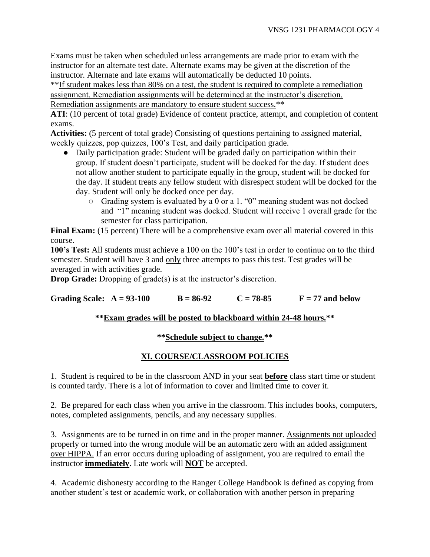Exams must be taken when scheduled unless arrangements are made prior to exam with the instructor for an alternate test date. Alternate exams may be given at the discretion of the instructor. Alternate and late exams will automatically be deducted 10 points.

\*\*If student makes less than 80% on a test, the student is required to complete a remediation assignment. Remediation assignments will be determined at the instructor's discretion. Remediation assignments are mandatory to ensure student success.\*\*

**ATI**: (10 percent of total grade) Evidence of content practice, attempt, and completion of content exams.

**Activities:** (5 percent of total grade) Consisting of questions pertaining to assigned material, weekly quizzes, pop quizzes, 100's Test, and daily participation grade.

- Daily participation grade: Student will be graded daily on participation within their group. If student doesn't participate, student will be docked for the day. If student does not allow another student to participate equally in the group, student will be docked for the day. If student treats any fellow student with disrespect student will be docked for the day. Student will only be docked once per day.
	- Grading system is evaluated by a 0 or a 1. "0" meaning student was not docked and "1" meaning student was docked. Student will receive 1 overall grade for the semester for class participation.

**Final Exam:** (15 percent) There will be a comprehensive exam over all material covered in this course.

**100's Test:** All students must achieve a 100 on the 100's test in order to continue on to the third semester. Student will have 3 and only three attempts to pass this test. Test grades will be averaged in with activities grade.

**Drop Grade:** Dropping of grade(s) is at the instructor's discretion.

Grading Scale:  $A = 93-100$   $B = 86-92$   $C = 78-85$   $F = 77$  and below

## **\*\*Exam grades will be posted to blackboard within 24-48 hours.\*\***

## **\*\*Schedule subject to change.\*\***

## **XI. COURSE/CLASSROOM POLICIES**

1. Student is required to be in the classroom AND in your seat **before** class start time or student is counted tardy. There is a lot of information to cover and limited time to cover it.

2. Be prepared for each class when you arrive in the classroom. This includes books, computers, notes, completed assignments, pencils, and any necessary supplies.

3. Assignments are to be turned in on time and in the proper manner. Assignments not uploaded properly or turned into the wrong module will be an automatic zero with an added assignment over HIPPA. If an error occurs during uploading of assignment, you are required to email the instructor **immediately**. Late work will **NOT** be accepted.

4. Academic dishonesty according to the Ranger College Handbook is defined as copying from another student's test or academic work, or collaboration with another person in preparing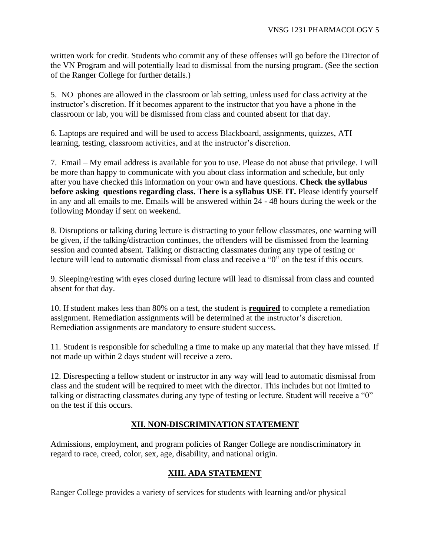written work for credit. Students who commit any of these offenses will go before the Director of the VN Program and will potentially lead to dismissal from the nursing program. (See the section of the Ranger College for further details.)

5. NO phones are allowed in the classroom or lab setting, unless used for class activity at the instructor's discretion. If it becomes apparent to the instructor that you have a phone in the classroom or lab, you will be dismissed from class and counted absent for that day.

6. Laptops are required and will be used to access Blackboard, assignments, quizzes, ATI learning, testing, classroom activities, and at the instructor's discretion.

7. Email – My email address is available for you to use. Please do not abuse that privilege. I will be more than happy to communicate with you about class information and schedule, but only after you have checked this information on your own and have questions. **Check the syllabus before asking questions regarding class. There is a syllabus USE IT.** Please identify yourself in any and all emails to me. Emails will be answered within 24 - 48 hours during the week or the following Monday if sent on weekend.

8. Disruptions or talking during lecture is distracting to your fellow classmates, one warning will be given, if the talking/distraction continues, the offenders will be dismissed from the learning session and counted absent. Talking or distracting classmates during any type of testing or lecture will lead to automatic dismissal from class and receive a "0" on the test if this occurs.

9. Sleeping/resting with eyes closed during lecture will lead to dismissal from class and counted absent for that day.

10. If student makes less than 80% on a test, the student is **required** to complete a remediation assignment. Remediation assignments will be determined at the instructor's discretion. Remediation assignments are mandatory to ensure student success.

11. Student is responsible for scheduling a time to make up any material that they have missed. If not made up within 2 days student will receive a zero.

12. Disrespecting a fellow student or instructor in any way will lead to automatic dismissal from class and the student will be required to meet with the director. This includes but not limited to talking or distracting classmates during any type of testing or lecture. Student will receive a "0" on the test if this occurs.

## **XII. NON-DISCRIMINATION STATEMENT**

Admissions, employment, and program policies of Ranger College are nondiscriminatory in regard to race, creed, color, sex, age, disability, and national origin.

#### **XIII. ADA STATEMENT**

Ranger College provides a variety of services for students with learning and/or physical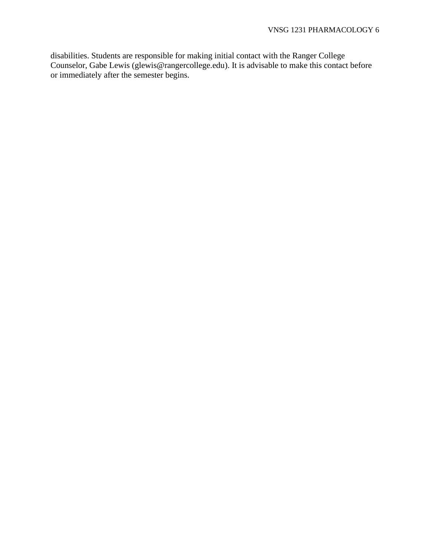disabilities. Students are responsible for making initial contact with the Ranger College Counselor, Gabe Lewis (glewis@rangercollege.edu). It is advisable to make this contact before or immediately after the semester begins.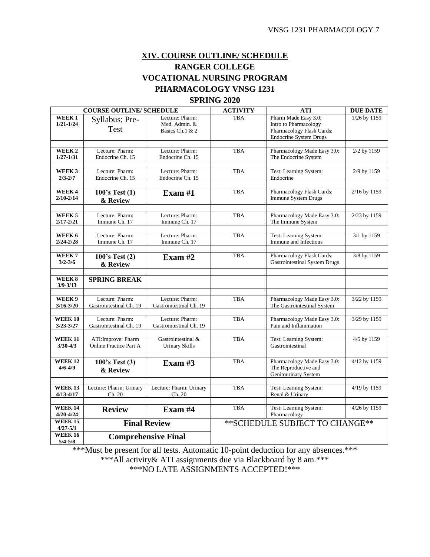## **XIV. COURSE OUTLINE/ SCHEDULE RANGER COLLEGE VOCATIONAL NURSING PROGRAM PHARMACOLOGY VNSG 1231**

## **SPRING 2020**

| <b>COURSE OUTLINE/ SCHEDULE</b>    |                                            |                                                     | <b>ACTIVITY</b> | <b>ATI</b>                                                                                                  | <b>DUE DATE</b> |
|------------------------------------|--------------------------------------------|-----------------------------------------------------|-----------------|-------------------------------------------------------------------------------------------------------------|-----------------|
| WEEK <sub>1</sub><br>$1/21 - 1/24$ | Syllabus; Pre-<br>Test                     | Lecture: Pharm:<br>Med. Admin. &<br>Basics Ch.1 & 2 | <b>TBA</b>      | Pharm Made Easy 3.0:<br>Intro to Pharmacology<br>Pharmacology Flash Cards:<br><b>Endocrine System Drugs</b> | 1/26 by 1159    |
|                                    |                                            |                                                     |                 |                                                                                                             |                 |
| WEEK <sub>2</sub><br>$1/27 - 1/31$ | Lecture: Pharm:<br>Endocrine Ch. 15        | Lecture: Pharm:<br>Endocrine Ch. 15                 | <b>TBA</b>      | Pharmacology Made Easy 3.0:<br>The Endocrine System                                                         | 2/2 by 1159     |
|                                    |                                            |                                                     |                 |                                                                                                             |                 |
| WEEK 3<br>$2/3 - 2/7$              | Lecture: Pharm:<br>Endocrine Ch. 15        | Lecture: Pharm:<br>Endocrine Ch. 15                 | <b>TBA</b>      | Test: Learning System:<br>Endocrine                                                                         | 2/9 by 1159     |
|                                    |                                            |                                                     |                 |                                                                                                             |                 |
| WEEK4<br>$2/10 - 2/14$             | 100's Test (1)<br>& Review                 | Exam $#1$                                           | <b>TBA</b>      | Pharmacology Flash Cards:<br>Immune System Drugs                                                            | 2/16 by 1159    |
|                                    |                                            |                                                     |                 |                                                                                                             |                 |
| WEEK 5<br>$2/17 - 2/21$            | Lecture: Pharm:<br>Immune Ch. 17           | Lecture: Pharm:<br>Immune Ch. 17                    | <b>TBA</b>      | Pharmacology Made Easy 3.0:<br>The Immune System                                                            | 2/23 by 1159    |
|                                    |                                            |                                                     |                 |                                                                                                             |                 |
| WEEK 6<br>$2/24 - 2/28$            | Lecture: Pharm:<br>Immune Ch. 17           | Lecture: Pharm:<br>Immune Ch. 17                    | <b>TBA</b>      | Test: Learning System:<br>Immune and Infectious                                                             | 3/1 by 1159     |
|                                    |                                            |                                                     |                 |                                                                                                             |                 |
| WEEK <sub>7</sub><br>$3/2 - 3/6$   | 100's Test(2)<br>& Review                  | Exam $#2$                                           | <b>TBA</b>      | Pharmacology Flash Cards:<br><b>Gastrointestinal System Drugs</b>                                           | 3/8 by 1159     |
|                                    |                                            |                                                     |                 |                                                                                                             |                 |
| WEEK 8<br>$3/9 - 3/13$             | <b>SPRING BREAK</b>                        |                                                     |                 |                                                                                                             |                 |
|                                    |                                            |                                                     |                 |                                                                                                             |                 |
| WEEK <sub>9</sub><br>$3/16 - 3/20$ | Lecture: Pharm:<br>Gastrointestinal Ch. 19 | Lecture: Pharm:<br>Gastrointestinal Ch. 19          | <b>TBA</b>      | Pharmacology Made Easy 3.0:<br>The Gastrointestinal System                                                  | 3/22 by 1159    |
| <b>WEEK 10</b>                     | Lecture: Pharm:                            | Lecture: Pharm:                                     | <b>TBA</b>      |                                                                                                             | 3/29 by 1159    |
| $3/23 - 3/27$                      | Gastrointestinal Ch. 19                    | Gastrointestinal Ch. 19                             |                 | Pharmacology Made Easy 3.0:<br>Pain and Inflammation                                                        |                 |
| <b>WEEK 11</b>                     | ATI: Improve: Pharm                        | Gastrointestinal &                                  | <b>TBA</b>      | Test: Learning System:                                                                                      | 4/5 by 1159     |
| $3/30 - 4/3$                       | <b>Online Practice Part A</b>              | Urinary Skills                                      |                 | Gastrointestinal                                                                                            |                 |
|                                    |                                            |                                                     |                 |                                                                                                             |                 |
| <b>WEEK 12</b><br>$4/6 - 4/9$      | 100's Test (3)<br>& Review                 | Exam $#3$                                           | <b>TBA</b>      | Pharmacology Made Easy 3.0:<br>The Reproductive and<br>Genitourinary System                                 | 4/12 by 1159    |
|                                    |                                            |                                                     |                 |                                                                                                             |                 |
| <b>WEEK 13</b><br>$4/13 - 4/17$    | Lecture: Pharm: Urinary<br>Ch. 20          | Lecture: Pharm: Urinary<br>Ch. 20                   | <b>TBA</b>      | Test: Learning System:<br>Renal & Urinary                                                                   | 4/19 by 1159    |
| <b>WEEK 14</b>                     |                                            |                                                     | <b>TBA</b>      | Test: Learning System:                                                                                      | 4/26 by 1159    |
| $4/20 - 4/24$                      | <b>Review</b>                              | Exam #4                                             |                 | Pharmacology                                                                                                |                 |
| <b>WEEK 15</b>                     | <b>Final Review</b>                        |                                                     |                 | ** SCHEDULE SUBJECT TO CHANGE**                                                                             |                 |
| $4/27 - 5/1$<br><b>WEEK 16</b>     |                                            |                                                     |                 |                                                                                                             |                 |
| $5/4 - 5/8$                        | <b>Comprehensive Final</b>                 |                                                     |                 |                                                                                                             |                 |

\*\*\*Must be present for all tests. Automatic 10-point deduction for any absences.\*\*\*

\*\*\*All activity& ATI assignments due via Blackboard by 8 am.\*\*\*

\*\*\*NO LATE ASSIGNMENTS ACCEPTED!\*\*\*